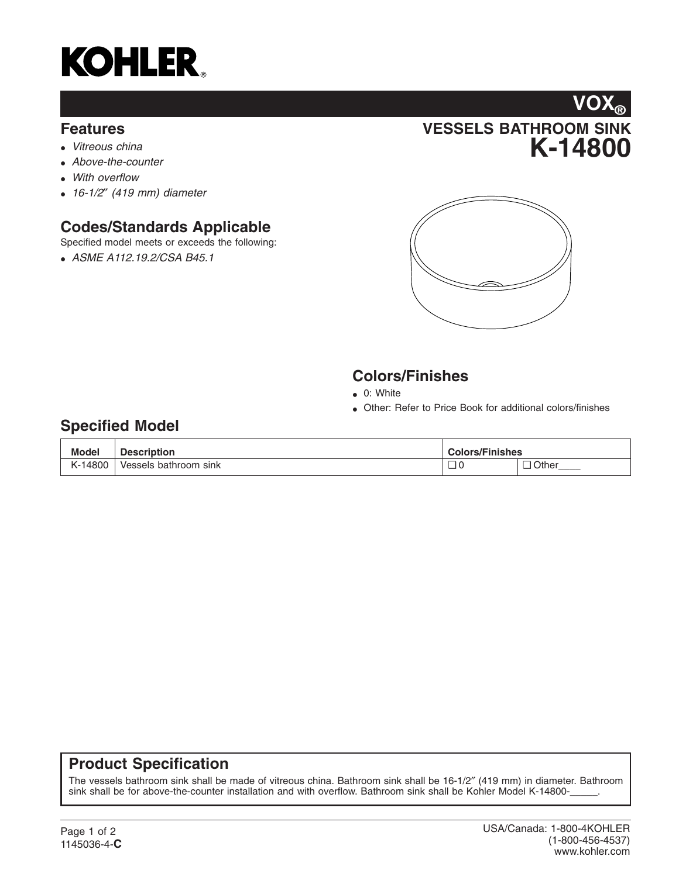

#### **Features**

- *Vitreous china*
- *Above-the-counter*
- *With overflow*
- *16-1/2*″ *(419 mm) diameter*

# **Codes/Standards Applicable**

Specified model meets or exceeds the following:

• *ASME A112.19.2/CSA B45.1*





## **Colors/Finishes**

- 0: White
- Other: Refer to Price Book for additional colors/finishes

## **Specified Model**

| <b>Model</b> | <b>Description</b>    | <b>Colors/Finishes</b> |         |
|--------------|-----------------------|------------------------|---------|
| K-14800      | Vessels bathroom sink |                        | ⊒ Other |

#### **Product Specification**

The vessels bathroom sink shall be made of vitreous china. Bathroom sink shall be 16-1/2″ (419 mm) in diameter. Bathroom sink shall be for above-the-counter installation and with overflow. Bathroom sink shall be Kohler Model K-14800-